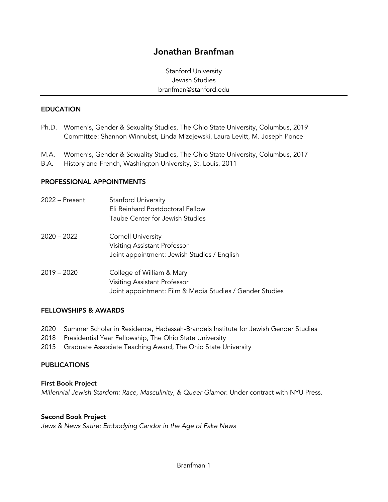# Jonathan Branfman

Stanford University Jewish Studies branfman@stanford.edu

#### EDUCATION

- Ph.D. Women's, Gender & Sexuality Studies, The Ohio State University, Columbus, 2019 Committee: Shannon Winnubst, Linda Mizejewski, Laura Levitt, M. Joseph Ponce
- M.A. Women's, Gender & Sexuality Studies, The Ohio State University, Columbus, 2017
- B.A. History and French, Washington University, St. Louis, 2011

#### PROFESSIONAL APPOINTMENTS

| 2022 – Present | <b>Stanford University</b><br>Eli Reinhard Postdoctoral Fellow<br>Taube Center for Jewish Studies                     |
|----------------|-----------------------------------------------------------------------------------------------------------------------|
| 2020 – 2022    | <b>Cornell University</b><br>Visiting Assistant Professor<br>Joint appointment: Jewish Studies / English              |
| 2019 – 2020    | College of William & Mary<br>Visiting Assistant Professor<br>Joint appointment: Film & Media Studies / Gender Studies |

#### FELLOWSHIPS & AWARDS

- 2020 Summer Scholar in Residence, Hadassah-Brandeis Institute for Jewish Gender Studies
- 2018 Presidential Year Fellowship, The Ohio State University
- 2015 Graduate Associate Teaching Award, The Ohio State University

#### PUBLICATIONS

#### First Book Project

*Millennial Jewish Stardom: Race, Masculinity, & Queer Glamor. Under contract with NYU Press.* 

#### Second Book Project

*Jews & News Satire: Embodying Candor in the Age of Fake News*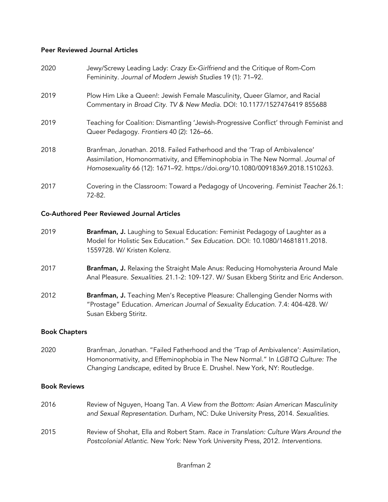# Peer Reviewed Journal Articles

| 2020 | Jewy/Screwy Leading Lady: Crazy Ex-Girlfriend and the Critique of Rom-Com<br>Femininity. Journal of Modern Jewish Studies 19 (1): 71-92.                                                                                                       |
|------|------------------------------------------------------------------------------------------------------------------------------------------------------------------------------------------------------------------------------------------------|
| 2019 | Plow Him Like a Queen!: Jewish Female Masculinity, Queer Glamor, and Racial<br>Commentary in Broad City. TV & New Media. DOI: 10.1177/1527476419 855688                                                                                        |
| 2019 | Teaching for Coalition: Dismantling 'Jewish-Progressive Conflict' through Feminist and<br>Queer Pedagogy. Frontiers 40 (2): 126-66.                                                                                                            |
| 2018 | Branfman, Jonathan. 2018. Failed Fatherhood and the 'Trap of Ambivalence'<br>Assimilation, Homonormativity, and Effeminophobia in The New Normal. Journal of<br>Homosexuality 66 (12): 1671-92. https://doi.org/10.1080/00918369.2018.1510263. |
| 2017 | Covering in the Classroom: Toward a Pedagogy of Uncovering. Feminist Teacher 26.1:<br>72-82.                                                                                                                                                   |

## Co-Authored Peer Reviewed Journal Articles

- 2019 **Branfman, J.** Laughing to Sexual Education: Feminist Pedagogy of Laughter as a Model for Holistic Sex Education." *Sex Education*. DOI: 10.1080/14681811.2018. 1559728. W/ Kristen Kolenz.
- 2017 **Branfman, J.** Relaxing the Straight Male Anus: Reducing Homohysteria Around Male Anal Pleasure. *Sexualities*. 21.1-2: 109-127. W/ Susan Ekberg Stiritz and Eric Anderson.
- 2012 **Branfman, J.** Teaching Men's Receptive Pleasure: Challenging Gender Norms with "Prostage" Education. *American Journal of Sexuality Education*. 7.4: 404-428. W/ Susan Ekberg Stiritz.

# Book Chapters

2020 Branfman, Jonathan. "Failed Fatherhood and the 'Trap of Ambivalence': Assimilation, Homonormativity, and Effeminophobia in The New Normal." In *LGBTQ Culture: The Changing Landscape*, edited by Bruce E. Drushel. New York, NY: Routledge.

## Book Reviews

- 2016 Review of Nguyen, Hoang Tan. *A View from the Bottom: Asian American Masculinity and Sexual Representation*. Durham, NC: Duke University Press, 2014. *Sexualities*.
- 2015 Review of Shohat, Ella and Robert Stam. *Race in Translation: Culture Wars Around the Postcolonial Atlantic*. New York: New York University Press, 2012. *Interventions*.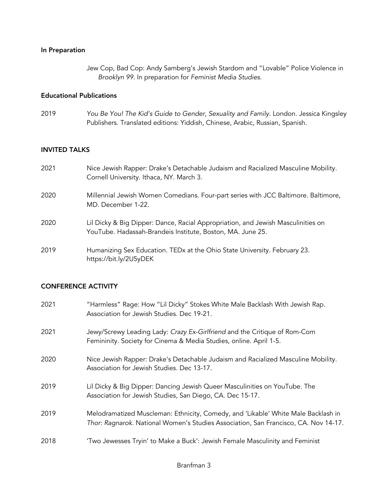# In Preparation

Jew Cop, Bad Cop: Andy Samberg's Jewish Stardom and "Lovable" Police Violence in *Brooklyn 99*. In preparation for *Feminist Media Studies*.

# Educational Publications

2019 *You Be You! The Kid's Guide to Gender, Sexuality and Family*. London. Jessica Kingsley Publishers. Translated editions: Yiddish, Chinese, Arabic, Russian, Spanish.

#### INVITED TALKS

| 2021 | Nice Jewish Rapper: Drake's Detachable Judaism and Racialized Masculine Mobility.<br>Cornell University. Ithaca, NY. March 3.                  |
|------|------------------------------------------------------------------------------------------------------------------------------------------------|
| 2020 | Millennial Jewish Women Comedians. Four-part series with JCC Baltimore. Baltimore,<br>MD. December 1-22.                                       |
| 2020 | Lil Dicky & Big Dipper: Dance, Racial Appropriation, and Jewish Masculinities on<br>YouTube. Hadassah-Brandeis Institute, Boston, MA. June 25. |
| 2019 | Humanizing Sex Education. TEDx at the Ohio State University. February 23.<br>https://bit.ly/2U5yDEK                                            |

## CONFERENCE ACTIVITY

| 2021 | "Harmless" Rage: How "Lil Dicky" Stokes White Male Backlash With Jewish Rap.<br>Association for Jewish Studies. Dec 19-21.                                               |
|------|--------------------------------------------------------------------------------------------------------------------------------------------------------------------------|
| 2021 | Jewy/Screwy Leading Lady: Crazy Ex-Girlfriend and the Critique of Rom-Com<br>Femininity. Society for Cinema & Media Studies, online. April 1-5.                          |
| 2020 | Nice Jewish Rapper: Drake's Detachable Judaism and Racialized Masculine Mobility.<br>Association for Jewish Studies. Dec 13-17.                                          |
| 2019 | Lil Dicky & Big Dipper: Dancing Jewish Queer Masculinities on YouTube. The<br>Association for Jewish Studies, San Diego, CA. Dec 15-17.                                  |
| 2019 | Melodramatized Muscleman: Ethnicity, Comedy, and 'Likable' White Male Backlash in<br>Thor: Ragnarok. National Women's Studies Association, San Francisco, CA. Nov 14-17. |
| 2018 | 'Two Jewesses Tryin' to Make a Buck': Jewish Female Masculinity and Feminist                                                                                             |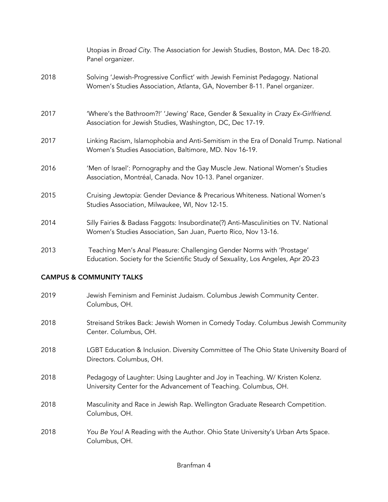|      | Utopias in Broad City. The Association for Jewish Studies, Boston, MA. Dec 18-20.<br>Panel organizer.                                                      |
|------|------------------------------------------------------------------------------------------------------------------------------------------------------------|
| 2018 | Solving 'Jewish-Progressive Conflict' with Jewish Feminist Pedagogy. National<br>Women's Studies Association, Atlanta, GA, November 8-11. Panel organizer. |
| 2017 | 'Where's the Bathroom?!' 'Jewing' Race, Gender & Sexuality in Crazy Ex-Girlfriend.<br>Association for Jewish Studies, Washington, DC, Dec 17-19.           |
| 2017 | Linking Racism, Islamophobia and Anti-Semitism in the Era of Donald Trump. National<br>Women's Studies Association, Baltimore, MD. Nov 16-19.              |
| 2016 | 'Men of Israel': Pornography and the Gay Muscle Jew. National Women's Studies<br>Association, Montréal, Canada. Nov 10-13. Panel organizer.                |
| 2015 | Cruising Jewtopia: Gender Deviance & Precarious Whiteness. National Women's<br>Studies Association, Milwaukee, WI, Nov 12-15.                              |
| 2014 | Silly Fairies & Badass Faggots: Insubordinate(?) Anti-Masculinities on TV. National<br>Women's Studies Association, San Juan, Puerto Rico, Nov 13-16.      |
| 2013 | Teaching Men's Anal Pleasure: Challenging Gender Norms with 'Prostage'<br>Education. Society for the Scientific Study of Sexuality, Los Angeles, Apr 20-23 |

# CAMPUS & COMMUNITY TALKS

| 2019 | Jewish Feminism and Feminist Judaism. Columbus Jewish Community Center.<br>Columbus, OH.                                                         |
|------|--------------------------------------------------------------------------------------------------------------------------------------------------|
| 2018 | Streisand Strikes Back: Jewish Women in Comedy Today. Columbus Jewish Community<br>Center. Columbus, OH.                                         |
| 2018 | LGBT Education & Inclusion. Diversity Committee of The Ohio State University Board of<br>Directors. Columbus, OH.                                |
| 2018 | Pedagogy of Laughter: Using Laughter and Joy in Teaching. W/ Kristen Kolenz.<br>University Center for the Advancement of Teaching. Columbus, OH. |
| 2018 | Masculinity and Race in Jewish Rap. Wellington Graduate Research Competition.<br>Columbus, OH.                                                   |
| 2018 | You Be You! A Reading with the Author. Ohio State University's Urban Arts Space.<br>Columbus, OH.                                                |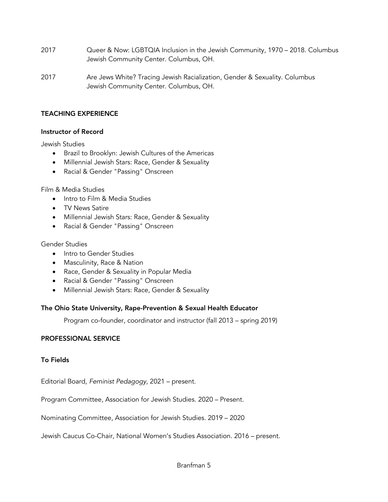- 2017 Queer & Now: LGBTQIA Inclusion in the Jewish Community, 1970 2018. Columbus Jewish Community Center. Columbus, OH.
- 2017 Are Jews White? Tracing Jewish Racialization, Gender & Sexuality. Columbus Jewish Community Center. Columbus, OH.

# TEACHING EXPERIENCE

## Instructor of Record

Jewish Studies

- Brazil to Brooklyn: Jewish Cultures of the Americas
- Millennial Jewish Stars: Race, Gender & Sexuality
- Racial & Gender "Passing" Onscreen

Film & Media Studies

- Intro to Film & Media Studies
- TV News Satire
- Millennial Jewish Stars: Race, Gender & Sexuality
- Racial & Gender "Passing" Onscreen

# Gender Studies

- Intro to Gender Studies
- Masculinity, Race & Nation
- Race, Gender & Sexuality in Popular Media
- Racial & Gender "Passing" Onscreen
- Millennial Jewish Stars: Race, Gender & Sexuality

## The Ohio State University, Rape-Prevention & Sexual Health Educator

Program co-founder, coordinator and instructor (fall 2013 – spring 2019)

## PROFESSIONAL SERVICE

# To Fields

Editorial Board, *Feminist Pedagogy*, 2021 – present.

Program Committee, Association for Jewish Studies. 2020 – Present.

Nominating Committee, Association for Jewish Studies. 2019 – 2020

Jewish Caucus Co-Chair, National Women's Studies Association. 2016 – present.